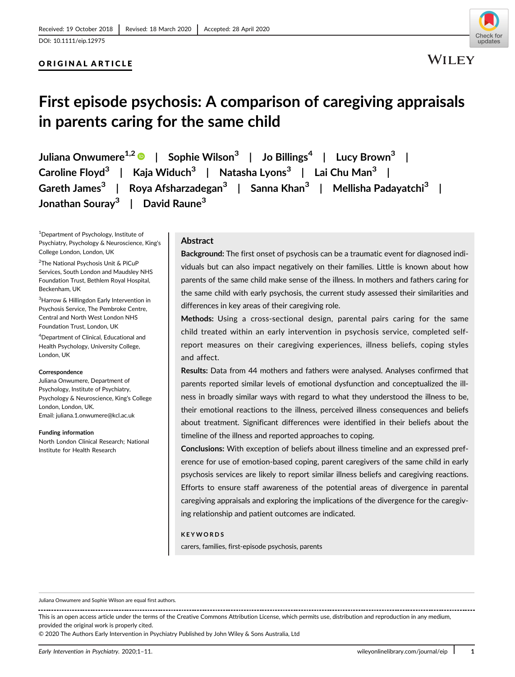#### ORIGINAL ARTICLE



## First episode psychosis: A comparison of caregiving appraisals in parents caring for the same child

Juliana Onwumere<sup>1,2</sup>  $\bullet$  | Sophie Wilson<sup>3</sup> | Jo Billings<sup>4</sup> | Lucy Brown<sup>3</sup> | Caroline Floyd<sup>3</sup> | Kaja Widuch<sup>3</sup> | Natasha Lyons<sup>3</sup> | Lai Chu Man<sup>3</sup> | Gareth James<sup>3</sup> | Roya Afsharzadegan<sup>3</sup> | Sanna Khan<sup>3</sup> | Mellisha Padayatchi<sup>3</sup> | Jonathan Souray<sup>3</sup> | David Raune<sup>3</sup>

1 Department of Psychology, Institute of Psychiatry, Psychology & Neuroscience, King's College London, London, UK

<sup>2</sup>The National Psychosis Unit & PiCuP Services, South London and Maudsley NHS Foundation Trust, Bethlem Royal Hospital, Beckenham, UK

<sup>3</sup>Harrow & Hillingdon Early Intervention in Psychosis Service, The Pembroke Centre, Central and North West London NHS Foundation Trust, London, UK

4 Department of Clinical, Educational and Health Psychology, University College, London, UK

#### **Correspondence**

Juliana Onwumere, Department of Psychology, Institute of Psychiatry, Psychology & Neuroscience, King's College London, London, UK. Email: [juliana.1.onwumere@kcl.ac.uk](mailto:juliana.1.onwumere@kcl.ac.uk)

#### Funding information

North London Clinical Research; National Institute for Health Research

#### Abstract

Background: The first onset of psychosis can be a traumatic event for diagnosed individuals but can also impact negatively on their families. Little is known about how parents of the same child make sense of the illness. In mothers and fathers caring for the same child with early psychosis, the current study assessed their similarities and differences in key areas of their caregiving role.

Methods: Using a cross-sectional design, parental pairs caring for the same child treated within an early intervention in psychosis service, completed selfreport measures on their caregiving experiences, illness beliefs, coping styles and affect.

Results: Data from 44 mothers and fathers were analysed. Analyses confirmed that parents reported similar levels of emotional dysfunction and conceptualized the illness in broadly similar ways with regard to what they understood the illness to be, their emotional reactions to the illness, perceived illness consequences and beliefs about treatment. Significant differences were identified in their beliefs about the timeline of the illness and reported approaches to coping.

Conclusions: With exception of beliefs about illness timeline and an expressed preference for use of emotion-based coping, parent caregivers of the same child in early psychosis services are likely to report similar illness beliefs and caregiving reactions. Efforts to ensure staff awareness of the potential areas of divergence in parental caregiving appraisals and exploring the implications of the divergence for the caregiving relationship and patient outcomes are indicated.

#### KEYWORDS

carers, families, first-episode psychosis, parents

This is an open access article under the terms of the [Creative Commons Attribution](http://creativecommons.org/licenses/by/4.0/) License, which permits use, distribution and reproduction in any medium, provided the original work is properly cited.

© 2020 The Authors Early Intervention in Psychiatry Published by John Wiley & Sons Australia, Ltd

Juliana Onwumere and Sophie Wilson are equal first authors.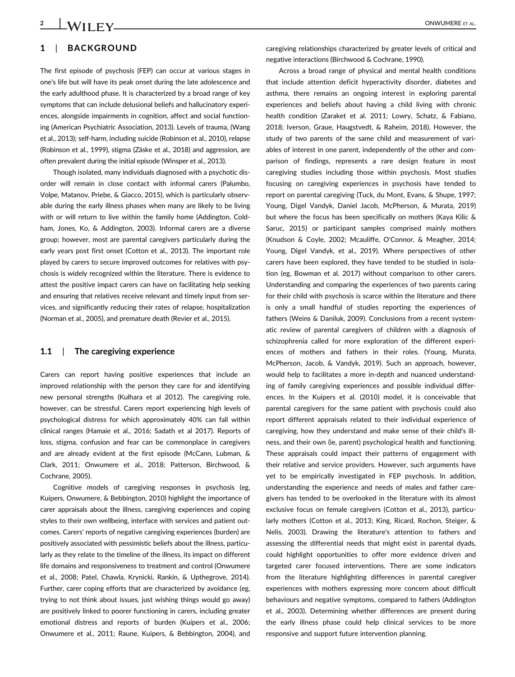#### 1 | BACKGROUND

The first episode of psychosis (FEP) can occur at various stages in one's life but will have its peak onset during the late adolescence and the early adulthood phase. It is characterized by a broad range of key symptoms that can include delusional beliefs and hallucinatory experiences, alongside impairments in cognition, affect and social functioning (American Psychiatric Association, 2013). Levels of trauma, (Wang et al., 2013); self-harm, including suicide (Robinson et al., 2010), relapse (Robinson et al., 1999), stigma (Zäske et al., 2018) and aggression, are often prevalent during the initial episode (Winsper et al., 2013).

Though isolated, many individuals diagnosed with a psychotic disorder will remain in close contact with informal carers (Palumbo, Volpe, Matanov, Priebe, & Giacco, 2015), which is particularly observable during the early illness phases when many are likely to be living with or will return to live within the family home (Addington, Coldham, Jones, Ko, & Addington, 2003). Informal carers are a diverse group; however, most are parental caregivers particularly during the early years post first onset (Cotton et al., 2013). The important role played by carers to secure improved outcomes for relatives with psychosis is widely recognized within the literature. There is evidence to attest the positive impact carers can have on facilitating help seeking and ensuring that relatives receive relevant and timely input from services, and significantly reducing their rates of relapse, hospitalization (Norman et al., 2005), and premature death (Revier et al., 2015).

#### 1.1 | The caregiving experience

Carers can report having positive experiences that include an improved relationship with the person they care for and identifying new personal strengths (Kulhara et al 2012). The caregiving role, however, can be stressful. Carers report experiencing high levels of psychological distress for which approximately 40% can fall within clinical ranges (Hamaie et al., 2016; Sadath et al 2017). Reports of loss, stigma, confusion and fear can be commonplace in caregivers and are already evident at the first episode (McCann, Lubman, & Clark, 2011; Onwumere et al., 2018; Patterson, Birchwood, & Cochrane, 2005).

Cognitive models of caregiving responses in psychosis (eg, Kuipers, Onwumere, & Bebbington, 2010) highlight the importance of carer appraisals about the illness, caregiving experiences and coping styles to their own wellbeing, interface with services and patient outcomes. Carers' reports of negative caregiving experiences (burden) are positively associated with pessimistic beliefs about the illness, particularly as they relate to the timeline of the illness, its impact on different life domains and responsiveness to treatment and control (Onwumere et al., 2008; Patel, Chawla, Krynicki, Rankin, & Upthegrove, 2014). Further, carer coping efforts that are characterized by avoidance (eg, trying to not think about issues, just wishing things would go away) are positively linked to poorer functioning in carers, including greater emotional distress and reports of burden (Kuipers et al., 2006; Onwumere et al., 2011; Raune, Kuipers, & Bebbington, 2004), and

caregiving relationships characterized by greater levels of critical and negative interactions (Birchwood & Cochrane, 1990).

Across a broad range of physical and mental health conditions that include attention deficit hyperactivity disorder, diabetes and asthma, there remains an ongoing interest in exploring parental experiences and beliefs about having a child living with chronic health condition (Zaraket et al. 2011; Lowry, Schatz, & Fabiano, 2018; Iverson, Graue, Haugstvedt, & Raheim, 2018). However, the study of two parents of the same child and measurement of variables of interest in one parent, independently of the other and comparison of findings, represents a rare design feature in most caregiving studies including those within psychosis. Most studies focusing on caregiving experiences in psychosis have tended to report on parental caregiving (Tuck, du Mont, Evans, & Shupe, 1997; Young, Digel Vandyk, Daniel Jacob, McPherson, & Murata, 2019) but where the focus has been specifically on mothers (Kaya Kilic & Saruc, 2015) or participant samples comprised mainly mothers (Knudson & Coyle, 2002; Mcauliffe, O'Connor, & Meagher, 2014; Young, Digel Vandyk, et al., 2019). Where perspectives of other carers have been explored, they have tended to be studied in isolation (eg, Bowman et al. 2017) without comparison to other carers. Understanding and comparing the experiences of two parents caring for their child with psychosis is scarce within the literature and there is only a small handful of studies reporting the experiences of fathers (Weins & Daniluk, 2009). Conclusions from a recent systematic review of parental caregivers of children with a diagnosis of schizophrenia called for more exploration of the different experiences of mothers and fathers in their roles. (Young, Murata, McPherson, Jacob, & Vandyk, 2019). Such an approach, however, would help to facilitates a more in-depth and nuanced understanding of family caregiving experiences and possible individual differences. In the Kuipers et al. (2010) model, it is conceivable that parental caregivers for the same patient with psychosis could also report different appraisals related to their individual experience of caregiving, how they understand and make sense of their child's illness, and their own (ie, parent) psychological health and functioning. These appraisals could impact their patterns of engagement with their relative and service providers. However, such arguments have yet to be empirically investigated in FEP psychosis. In addition, understanding the experience and needs of males and father caregivers has tended to be overlooked in the literature with its almost exclusive focus on female caregivers (Cotton et al., 2013), particularly mothers (Cotton et al., 2013; King, Ricard, Rochon, Steiger, & Nelis, 2003). Drawing the literature's attention to fathers and assessing the differential needs that might exist in parental dyads, could highlight opportunities to offer more evidence driven and targeted carer focused interventions. There are some indicators from the literature highlighting differences in parental caregiver experiences with mothers expressing more concern about difficult behaviours and negative symptoms, compared to fathers (Addington et al., 2003). Determining whether differences are present during the early illness phase could help clinical services to be more responsive and support future intervention planning.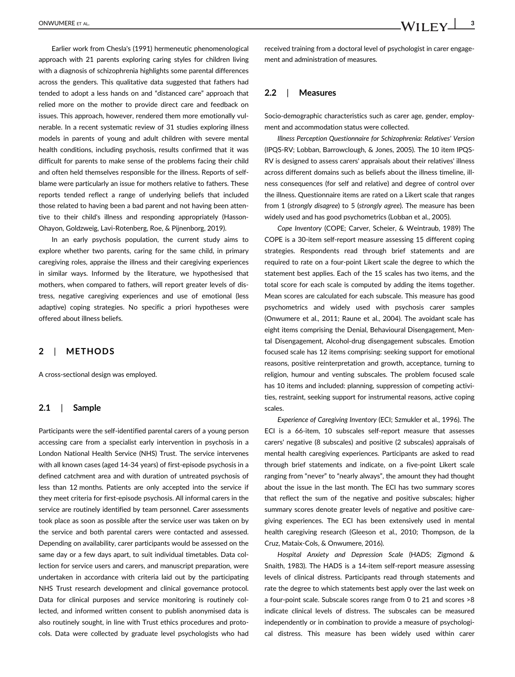Earlier work from Chesla's (1991) hermeneutic phenomenological approach with 21 parents exploring caring styles for children living with a diagnosis of schizophrenia highlights some parental differences across the genders. This qualitative data suggested that fathers had tended to adopt a less hands on and "distanced care" approach that relied more on the mother to provide direct care and feedback on issues. This approach, however, rendered them more emotionally vulnerable. In a recent systematic review of 31 studies exploring illness models in parents of young and adult children with severe mental health conditions, including psychosis, results confirmed that it was difficult for parents to make sense of the problems facing their child and often held themselves responsible for the illness. Reports of selfblame were particularly an issue for mothers relative to fathers. These reports tended reflect a range of underlying beliefs that included those related to having been a bad parent and not having been attentive to their child's illness and responding appropriately (Hasson-Ohayon, Goldzweig, Lavi-Rotenberg, Roe, & Pijnenborg, 2019).

In an early psychosis population, the current study aims to explore whether two parents, caring for the same child, in primary caregiving roles, appraise the illness and their caregiving experiences in similar ways. Informed by the literature, we hypothesised that mothers, when compared to fathers, will report greater levels of distress, negative caregiving experiences and use of emotional (less adaptive) coping strategies. No specific a priori hypotheses were offered about illness beliefs.

#### 2 | METHODS

A cross-sectional design was employed.

#### 2.1 | Sample

Participants were the self-identified parental carers of a young person accessing care from a specialist early intervention in psychosis in a London National Health Service (NHS) Trust. The service intervenes with all known cases (aged 14-34 years) of first-episode psychosis in a defined catchment area and with duration of untreated psychosis of less than 12 months. Patients are only accepted into the service if they meet criteria for first-episode psychosis. All informal carers in the service are routinely identified by team personnel. Carer assessments took place as soon as possible after the service user was taken on by the service and both parental carers were contacted and assessed. Depending on availability, carer participants would be assessed on the same day or a few days apart, to suit individual timetables. Data collection for service users and carers, and manuscript preparation, were undertaken in accordance with criteria laid out by the participating NHS Trust research development and clinical governance protocol. Data for clinical purposes and service monitoring is routinely collected, and informed written consent to publish anonymised data is also routinely sought, in line with Trust ethics procedures and protocols. Data were collected by graduate level psychologists who had

received training from a doctoral level of psychologist in carer engagement and administration of measures.

#### 2.2 | Measures

Socio-demographic characteristics such as carer age, gender, employment and accommodation status were collected.

Illness Perception Questionnaire for Schizophrenia: Relatives' Version (IPQS-RV; Lobban, Barrowclough, & Jones, 2005). The 10 item IPQS-RV is designed to assess carers' appraisals about their relatives' illness across different domains such as beliefs about the illness timeline, illness consequences (for self and relative) and degree of control over the illness. Questionnaire items are rated on a Likert scale that ranges from 1 (strongly disagree) to 5 (strongly agree). The measure has been widely used and has good psychometrics (Lobban et al., 2005).

Cope Inventory (COPE; Carver, Scheier, & Weintraub, 1989) The COPE is a 30-item self-report measure assessing 15 different coping strategies. Respondents read through brief statements and are required to rate on a four-point Likert scale the degree to which the statement best applies. Each of the 15 scales has two items, and the total score for each scale is computed by adding the items together. Mean scores are calculated for each subscale. This measure has good psychometrics and widely used with psychosis carer samples (Onwumere et al., 2011; Raune et al., 2004). The avoidant scale has eight items comprising the Denial, Behavioural Disengagement, Mental Disengagement, Alcohol-drug disengagement subscales. Emotion focused scale has 12 items comprising: seeking support for emotional reasons, positive reinterpretation and growth, acceptance, turning to religion, humour and venting subscales. The problem focused scale has 10 items and included: planning, suppression of competing activities, restraint, seeking support for instrumental reasons, active coping scales.

Experience of Caregiving Inventory (ECI; Szmukler et al., 1996). The ECI is a 66-item, 10 subscales self-report measure that assesses carers' negative (8 subscales) and positive (2 subscales) appraisals of mental health caregiving experiences. Participants are asked to read through brief statements and indicate, on a five-point Likert scale ranging from "never" to "nearly always", the amount they had thought about the issue in the last month. The ECI has two summary scores that reflect the sum of the negative and positive subscales; higher summary scores denote greater levels of negative and positive caregiving experiences. The ECI has been extensively used in mental health caregiving research (Gleeson et al., 2010; Thompson, de la Cruz, Mataix-Cols, & Onwumere, 2016).

Hospital Anxiety and Depression Scale (HADS; Zigmond & Snaith, 1983). The HADS is a 14-item self-report measure assessing levels of clinical distress. Participants read through statements and rate the degree to which statements best apply over the last week on a four-point scale. Subscale scores range from 0 to 21 and scores >8 indicate clinical levels of distress. The subscales can be measured independently or in combination to provide a measure of psychological distress. This measure has been widely used within carer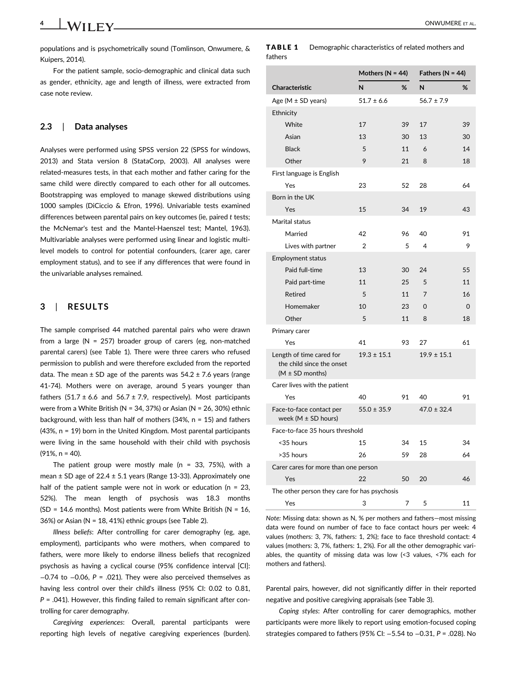populations and is psychometrically sound (Tomlinson, Onwumere, & Kuipers, 2014).

For the patient sample, socio-demographic and clinical data such as gender, ethnicity, age and length of illness, were extracted from case note review.

#### 2.3 | Data analyses

Analyses were performed using SPSS version 22 (SPSS for windows, 2013) and Stata version 8 (StataCorp, 2003). All analyses were related-measures tests, in that each mother and father caring for the same child were directly compared to each other for all outcomes. Bootstrapping was employed to manage skewed distributions using 1000 samples (DiCiccio & Efron, 1996). Univariable tests examined differences between parental pairs on key outcomes (ie, paired t tests; the McNemar's test and the Mantel-Haenszel test; Mantel, 1963). Multivariable analyses were performed using linear and logistic multilevel models to control for potential confounders, (carer age, carer employment status), and to see if any differences that were found in the univariable analyses remained.

#### 3 | RESULTS

The sample comprised 44 matched parental pairs who were drawn from a large ( $N = 257$ ) broader group of carers (eg, non-matched parental carers) (see Table 1). There were three carers who refused permission to publish and were therefore excluded from the reported data. The mean  $\pm$  SD age of the parents was 54.2  $\pm$  7.6 years (range 41-74). Mothers were on average, around 5 years younger than fathers  $(51.7 \pm 6.6$  and  $56.7 \pm 7.9$ , respectively). Most participants were from a White British (N = 34, 37%) or Asian (N = 26, 30%) ethnic background, with less than half of mothers (34%,  $n = 15$ ) and fathers (43%, n = 19) born in the United Kingdom. Most parental participants were living in the same household with their child with psychosis (91%, n = 40).

The patient group were mostly male ( $n = 33, 75\%$ ), with a mean  $\pm$  SD age of 22.4  $\pm$  5.1 years (Range 13-33). Approximately one half of the patient sample were not in work or education ( $n = 23$ , 52%). The mean length of psychosis was 18.3 months (SD = 14.6 months). Most patients were from White British ( $N = 16$ , 36%) or Asian (N = 18, 41%) ethnic groups (see Table 2).

Illness beliefs: After controlling for carer demography (eg, age, employment), participants who were mothers, when compared to fathers, were more likely to endorse illness beliefs that recognized psychosis as having a cyclical course (95% confidence interval [CI]: −0.74 to −0.06, P = .021). They were also perceived themselves as having less control over their child's illness (95% CI: 0.02 to 0.81,  $P = .041$ ). However, this finding failed to remain significant after controlling for carer demography.

Caregiving experiences: Overall, parental participants were reporting high levels of negative caregiving experiences (burden).

| TABLE 1 | Demographic characteristics of related mothers and |
|---------|----------------------------------------------------|
| fathers |                                                    |

|                                                       | Mothers ( $N = 44$ ) |    | Fathers ( $N = 44$ ) |    |
|-------------------------------------------------------|----------------------|----|----------------------|----|
| <b>Characteristic</b>                                 | N                    | %  | N                    | %  |
| Age ( $M \pm SD$ years)                               | $51.7 \pm 6.6$       |    | $56.7 \pm 7.9$       |    |
| Ethnicity                                             |                      |    |                      |    |
| White                                                 | 17                   | 39 | 17                   | 39 |
| Asian                                                 | 13                   | 30 | 13                   | 30 |
| <b>Black</b>                                          | 5                    | 11 | 6                    | 14 |
| Other                                                 | 9                    | 21 | 8                    | 18 |
| First language is English                             |                      |    |                      |    |
| Yes                                                   | 23                   | 52 | 28                   | 64 |
| Born in the UK                                        |                      |    |                      |    |
| Yes                                                   | 15                   | 34 | 19                   | 43 |
| Marital status                                        |                      |    |                      |    |
| Married                                               | 42                   | 96 | 40                   | 91 |
| Lives with partner                                    | $\overline{2}$       | 5  | 4                    | 9  |
| <b>Employment status</b>                              |                      |    |                      |    |
| Paid full-time                                        | 13                   | 30 | 24                   | 55 |
| Paid part-time                                        | 11                   | 25 | 5                    | 11 |
| <b>Retired</b>                                        | 5                    | 11 | $\overline{7}$       | 16 |
| Homemaker                                             | 10                   | 23 | 0                    | 0  |
| Other                                                 | 5                    | 11 | 8                    | 18 |
| Primary carer                                         |                      |    |                      |    |
| Yes                                                   | 41                   | 93 | 27                   | 61 |
| Length of time cared for<br>the child since the onset | $19.3 \pm 15.1$      |    | $19.9 \pm 15.1$      |    |
| $(M \pm SD$ months)                                   |                      |    |                      |    |
| Carer lives with the patient                          |                      |    |                      |    |
| Yes                                                   | 40                   | 91 | 40                   | 91 |
| Face-to-face contact per<br>week ( $M \pm SD$ hours)  | $55.0 \pm 35.9$      |    | $47.0 \pm 32.4$      |    |
| Face-to-face 35 hours threshold                       |                      |    |                      |    |
| <35 hours                                             | 15                   | 34 | 15                   | 34 |
| >35 hours                                             | 26                   | 59 | 28                   | 64 |
| Carer cares for more than one person                  |                      |    |                      |    |
| Yes                                                   | 22                   | 50 | 20                   | 46 |
| The other person they care for has psychosis          |                      |    |                      |    |
| Yes                                                   | 3                    | 7  | 5                    | 11 |

Note: Missing data: shown as N, % per mothers and fathers—most missing data were found on number of face to face contact hours per week: 4 values (mothers: 3, 7%, fathers: 1, 2%); face to face threshold contact: 4 values (mothers: 3, 7%, fathers: 1, 2%). For all the other demographic variables, the quantity of missing data was low (<3 values, <7% each for mothers and fathers).

Parental pairs, however, did not significantly differ in their reported negative and positive caregiving appraisals (see Table 3).

Coping styles: After controlling for carer demographics, mother participants were more likely to report using emotion-focused coping strategies compared to fathers (95% CI: −5.54 to −0.31, P = .028). No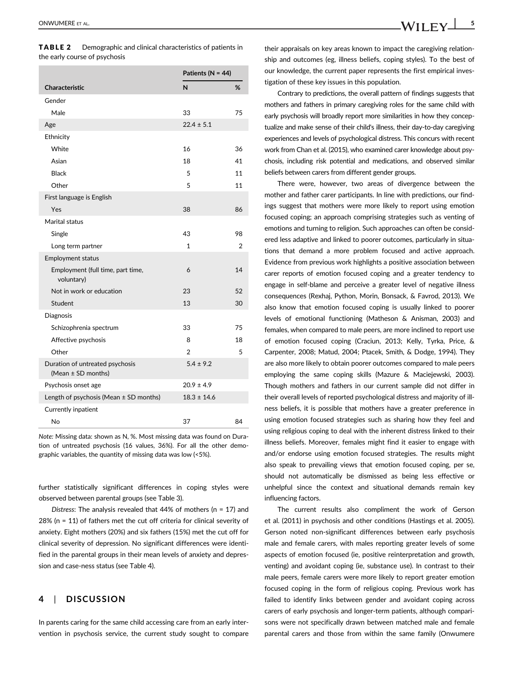|                                                       | Patients ( $N = 44$ ) |                |
|-------------------------------------------------------|-----------------------|----------------|
| Characteristic                                        | N                     | %              |
| Gender                                                |                       |                |
| Male                                                  | 33                    | 75             |
| Age                                                   | $22.4 \pm 5.1$        |                |
| Ethnicity                                             |                       |                |
| White                                                 | 16                    | 36             |
| Asian                                                 | 18                    | 41             |
| Black                                                 | 5                     | 11             |
| Other                                                 | 5                     | 11             |
| First language is English                             |                       |                |
| Yes                                                   | 38                    | 86             |
| Marital status                                        |                       |                |
| Single                                                | 43                    | 98             |
| Long term partner                                     | 1                     | $\overline{2}$ |
| <b>Employment status</b>                              |                       |                |
| Employment (full time, part time,<br>voluntary)       | 6                     | 14             |
| Not in work or education                              | 23                    | 52             |
| Student                                               | 13                    | 30             |
| <b>Diagnosis</b>                                      |                       |                |
| Schizophrenia spectrum                                | 33                    | 75             |
| Affective psychosis                                   | 8                     | 18             |
| Other                                                 | $\overline{2}$        | 5              |
| Duration of untreated psychosis<br>(Mean ± SD months) | $5.4 \pm 9.2$         |                |
| Psychosis onset age                                   | $20.9 \pm 4.9$        |                |
| Length of psychosis (Mean $\pm$ SD months)            | $18.3 \pm 14.6$       |                |
| Currently inpatient                                   |                       |                |
| No                                                    | 37                    | 84             |

Note: Missing data: shown as N, %. Most missing data was found on Duration of untreated psychosis (16 values, 36%). For all the other demographic variables, the quantity of missing data was low (<5%).

further statistically significant differences in coping styles were observed between parental groups (see Table 3).

Distress: The analysis revealed that  $44%$  of mothers (n = 17) and 28% (n = 11) of fathers met the cut off criteria for clinical severity of anxiety. Eight mothers (20%) and six fathers (15%) met the cut off for clinical severity of depression. No significant differences were identified in the parental groups in their mean levels of anxiety and depression and case-ness status (see Table 4).

#### 4 | DISCUSSION

In parents caring for the same child accessing care from an early intervention in psychosis service, the current study sought to compare their appraisals on key areas known to impact the caregiving relationship and outcomes (eg, illness beliefs, coping styles). To the best of our knowledge, the current paper represents the first empirical investigation of these key issues in this population.

Contrary to predictions, the overall pattern of findings suggests that mothers and fathers in primary caregiving roles for the same child with early psychosis will broadly report more similarities in how they conceptualize and make sense of their child's illness, their day-to-day caregiving experiences and levels of psychological distress. This concurs with recent work from Chan et al. (2015), who examined carer knowledge about psychosis, including risk potential and medications, and observed similar beliefs between carers from different gender groups.

There were, however, two areas of divergence between the mother and father carer participants. In line with predictions, our findings suggest that mothers were more likely to report using emotion focused coping; an approach comprising strategies such as venting of emotions and turning to religion. Such approaches can often be considered less adaptive and linked to poorer outcomes, particularly in situations that demand a more problem focused and active approach. Evidence from previous work highlights a positive association between carer reports of emotion focused coping and a greater tendency to engage in self-blame and perceive a greater level of negative illness consequences (Rexhaj, Python, Morin, Bonsack, & Favrod, 2013). We also know that emotion focused coping is usually linked to poorer levels of emotional functioning (Matheson & Anisman, 2003) and females, when compared to male peers, are more inclined to report use of emotion focused coping (Craciun, 2013; Kelly, Tyrka, Price, & Carpenter, 2008; Matud, 2004; Ptacek, Smith, & Dodge, 1994). They are also more likely to obtain poorer outcomes compared to male peers employing the same coping skills (Mazure & Maciejewski, 2003). Though mothers and fathers in our current sample did not differ in their overall levels of reported psychological distress and majority of illness beliefs, it is possible that mothers have a greater preference in using emotion focused strategies such as sharing how they feel and using religious coping to deal with the inherent distress linked to their illness beliefs. Moreover, females might find it easier to engage with and/or endorse using emotion focused strategies. The results might also speak to prevailing views that emotion focused coping, per se, should not automatically be dismissed as being less effective or unhelpful since the context and situational demands remain key influencing factors.

The current results also compliment the work of Gerson et al. (2011) in psychosis and other conditions (Hastings et al. 2005). Gerson noted non-significant differences between early psychosis male and female carers, with males reporting greater levels of some aspects of emotion focused (ie, positive reinterpretation and growth, venting) and avoidant coping (ie, substance use). In contrast to their male peers, female carers were more likely to report greater emotion focused coping in the form of religious coping. Previous work has failed to identify links between gender and avoidant coping across carers of early psychosis and longer-term patients, although comparisons were not specifically drawn between matched male and female parental carers and those from within the same family (Onwumere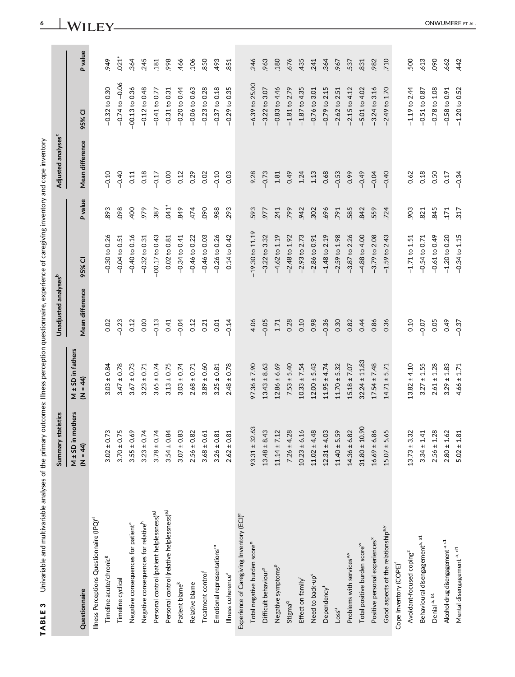TABLE 3 Univariable and multivariable analyses of the primary outcomes: Illness perception questionnaire, experience of caregiving inventory and cope inventory TABLE 3 Univariable and multivariable analyses of the primary outcomes: Illness perception questionnaire, experience of caregiving inventory and cope inventory

|                                                         | Summary statistics                                                                                                                     |                                   | Unadjusted analyses <sup>b</sup> |                     |         | Adjusted analyses <sup>c</sup> |                    |            |
|---------------------------------------------------------|----------------------------------------------------------------------------------------------------------------------------------------|-----------------------------------|----------------------------------|---------------------|---------|--------------------------------|--------------------|------------|
| Questionnaire                                           | $M \pm SD$ in mothers<br>$(M = 44)$                                                                                                    | M $\pm$ SD in fathers<br>(N = 44) | Mean difference                  | 95% CI              | P value | Mean difference                | 95% CI             | Pvalue     |
| Illness Perceptions Questionnaire (IPQ) <sup>d</sup>    |                                                                                                                                        |                                   |                                  |                     |         |                                |                    |            |
| Timeline acute/chronic <sup>8</sup>                     | $3.02 \pm 0.73$                                                                                                                        | $3.03 \pm 0.84$                   | 0.02                             | $-0.30$ to 0.26     | 893     | $-0.10$                        | $-0.32$ to 0.30    | 949        |
| Timeline cyclical                                       | $3.70 \pm 0.75$<br>$3.55 \pm 0.69$                                                                                                     | $3.47 \pm 0.78$                   | $-0.23$                          | $-0.04$ to $0.51$   | 098     | $-0.40$                        | $-0.74$ to $-0.06$ | $.021*$    |
| Negative consequences for patient <sup>a</sup>          |                                                                                                                                        | $3.67 \pm 0.73$                   | 0.12                             | $-0.40$ to 0.16     | 400     | 0.11                           | $-00.13$ to 0.36   | 364        |
| Negative consequences for relative <sup>h</sup>         |                                                                                                                                        | $3.23 \pm 0.71$                   | 0.00                             | $-0.32$ to 0.31     | 979     | 0.18                           | $-0.12$ to 0.48    | .245       |
| Personal control (patient helplessness) <sup>a,i</sup>  | $3.23 \pm 0.74$<br>$3.78 \pm 0.74$<br>$3.78 \pm 0.74$<br>$3.54 \pm 0.84$                                                               | $3.65 \pm 0.74$                   | $-0.13$                          | $-00.17$ to 0.43    | 387     | $-0.17$                        | $-0.41$ to 0.77    | .181       |
| Personal control (relative helplessness) <sup>a,j</sup> |                                                                                                                                        | $3.13 \pm 0.75$                   | 0.41                             | 0.02 to 0.81        | $641*$  | 0.00                           | $-0.31$ to 0.31    | 998        |
| Patient blame <sup>k</sup>                              | $3.07 \pm 0.83$<br>$2.56 \pm 0.82$<br>$3.68 \pm 0.61$<br>$3.26 \pm 0.81$                                                               | $3.03 \pm 0.74$                   | $-0.04$                          | $-0.34$ to 0.41     | 849     | 0.12                           | $-0.20$ to 0.44    | 466        |
| Relative blame                                          |                                                                                                                                        | $2.68 \pm 0.71$                   | 0.12                             | $-0.46$ to 0.22     | 474     | 0.29                           | $-0.06$ to 0.63    | 106        |
| Treatment control                                       |                                                                                                                                        | $3.89 \pm 0.60$                   | 0.21                             | $-0.46$ to 0.03     | 090     | 0.02                           | $-0.23$ to 0.28    | 850        |
| Emotional representations <sup>m</sup>                  |                                                                                                                                        | $3.25 \pm 0.81$                   | 0.01                             | $-0.26$ to 0.26     | 988     | $-0.10$                        | $-0.37$ to 0.18    | 493        |
| Illness coherence <sup>a</sup>                          | $2.62 \pm 0.81$                                                                                                                        | $2.48 \pm 0.78$                   | $-0.14$                          | 0.14 to 0.42        | 293     | 0.03                           | $-0.29$ to 0.35    | 851        |
| Experience of Caregiving Inventory (ECI) <sup>e</sup>   |                                                                                                                                        |                                   |                                  |                     |         |                                |                    |            |
| Total negative burden score"                            | $93.31 \pm 32.63$                                                                                                                      | $97.36 \pm 7.90$                  | 4.06                             | $-19.30$ to $11.19$ | 593     | 9.28                           | $-6.39$ to 25.00   | .246       |
| Difficult behaviour <sup>o</sup>                        |                                                                                                                                        | $13.43 \pm 8.63$                  | $-0.05$                          | $-3.22$ to $3.32$   | 977     | $-0.73$                        | $-3.22$ to $3.07$  | .963       |
| Negative symptoms <sup>p</sup>                          | $13.48 \pm 8.43$ $11.14 \pm 7.12$ $7.26 \pm 4.28$ $10.23 \pm 6.16$ $10.23 \pm 4.48$ $11.02 \pm 4.48$ $12.31 \pm 4.03$ $12.40 \pm 5.59$ | $12.86 \pm 6.69$                  | 1.71                             | $-4.62$ to $1.19$   | 241     | 1.81                           | $-0.83$ to 4.46    | <b>180</b> |
| Stigma <sup>q</sup>                                     |                                                                                                                                        | $7.53 \pm 5.40$                   | 0.28                             | $-2.48$ to $1.92$   | 799     | 0.49                           | $-1.81$ to 2.79    | 676        |
| Effect on family <sup>r</sup>                           |                                                                                                                                        | $10.33 \pm 7.54$                  | 0.10                             | $-2.93$ to $2.73$   | 942     | 1.24                           | $-1.87$ to 4.35    | 435        |
| Need to back-up <sup>s</sup>                            |                                                                                                                                        | $12.00 \pm 5.43$                  | 0.98                             | $-2.86$ to 0.91     | 302     | 1.13                           | $-0.76$ to 3.01    | .241       |
| Dependency <sup>t</sup>                                 |                                                                                                                                        | $11.95 \pm 4.74$                  | $-0.36$                          | $-1.48$ to 2.19     | 696     | 0.68                           | $-0.79$ to $2.15$  | .364       |
| Loss <sup>u</sup>                                       |                                                                                                                                        | $11.70 \pm 5.32$                  | 0.30                             | $-2.59$ to $1.98$   | 791     | $-0.53$                        | $-2.62$ to $2.51$  | .967       |
| Problems with services <sup>a,v</sup>                   |                                                                                                                                        | $15.18 \pm 7.07$                  | 0.82                             | $-3.87$ to 2.26     | 585     | 0.99                           | $-2.15$ to 4.12    | 537        |
| Total positive burden score <sup>w</sup>                | $31.80 \pm 10.90$                                                                                                                      | $32.24 \pm 11.83$                 | 0.44                             | $-4.88$ to $4.00$   | 842     | $-0.49$                        | $-5.01$ to 4.02    | 831        |
| Positive personal experiences <sup>x</sup>              | $16.69 \pm 6.86$<br>$15.07 \pm 5.65$                                                                                                   | $17.54 \pm 7.48$                  | 0.86                             | $-3.79$ to 2.08     | 559     | $-0.04$                        | $-3.24$ to 3.16    | .982       |
| Good aspects of the relationship <sup>a.y</sup>         |                                                                                                                                        | $14.71 \pm 5.71$                  | 0.36                             | $-1.59$ to 2.43     | .724    | $-0.40$                        | $-2.49$ to 1.70    | 710        |
| Cope Inventory (COPE)                                   |                                                                                                                                        |                                   |                                  |                     |         |                                |                    |            |
| Avoidant-focused coping <sup>2</sup>                    | $13.73 \pm 3.32$<br>$3.34 \pm 1.41$                                                                                                    | $13.82 \pm 4.10$                  | 0.10                             | $-1.71$ to $1.51$   | 903     | 0.62                           | $-1.19$ to 2.44    | 500        |
| Behavioural disengagement <sup>a, a1</sup>              |                                                                                                                                        | $3.27 \pm 1.55$                   | $-0.07$                          | $-0.54$ to 0.71     | .821    | 0.18                           | $-0.51$ to 0.87    | .613       |
| Denial a, b1                                            | $2.56 \pm 1.28$                                                                                                                        | $2.61 \pm 1.28$                   | 0.05                             | $-0.61$ to 0.49     | 845     | 0.50                           | $-0.78$ to $1.08$  | 090        |
| Alcohol-drug disengagement a, c1                        | $2.80 \pm 1.62$                                                                                                                        | $3.29 \pm 1.83$                   | 0.49                             | $-1.20$ to 0.20     | 171     | 0.17                           | $-0.58$ to 0.91    | .662       |
| Mental disengagement <sup>a, d1</sup>                   | $5.02 \pm 1.81$                                                                                                                        | $4.66 \pm 1.71$                   | $-0.37$                          | $-0.34$ to $1.15$   | 317     | $-0.34$                        | $-1.20$ to 0.52    | .442       |

# 6 ONWUMERE ET AL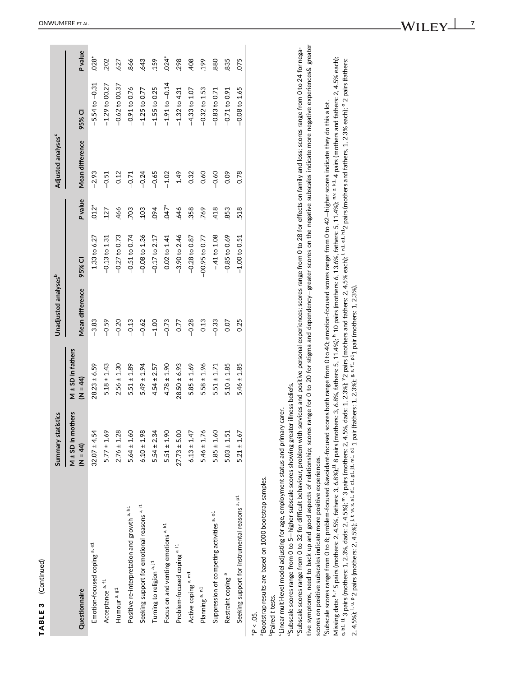| ς<br>j |  |
|--------|--|
|        |  |
|        |  |
| Ĺ      |  |
|        |  |
|        |  |
|        |  |
|        |  |
|        |  |
|        |  |
|        |  |
|        |  |
|        |  |
|        |  |
|        |  |
|        |  |
|        |  |
| ŀ      |  |

|                                                           | Summary statistics                  |                              | Unadjusted analyses <sup>b</sup> |                   |             | Adjusted analyses <sup>c</sup> |                    |                |
|-----------------------------------------------------------|-------------------------------------|------------------------------|----------------------------------|-------------------|-------------|--------------------------------|--------------------|----------------|
| Questionnaire                                             | $M \pm SD$ in mothers<br>$(N = 44)$ | M ± SD in fathers<br>(N = 4) | Mean difference                  | 95% CI            | P value     | Mean difference                | 95% CI             | <b>P</b> value |
| Emotion-focused coping <sup>a, e1</sup>                   | $32.07 \pm 4.54$                    | $28.23 \pm 6.59$             | $-3.83$                          | 1.33 to 6.27      | $.012*$     | $-2.93$                        | $-5.54$ to $-0.31$ | $.028*$        |
| Acceptance a. f1                                          | $5.77 \pm 1.69$                     | $5.18 \pm 1.43$              | $-0.59$                          | $-0.13$ to $1.31$ | 127         | $-0.51$                        | $-1.29$ to 00.27   | 202            |
| Humour <sup>a, g1</sup>                                   | $2.76 \pm 1.28$                     | $2.56 \pm 1.30$              | $-0.20$                          | $-0.27$ to 0.73   | 466         | 0.12                           | $-0.62$ to 00.37   | 627            |
| Positive re-interpretation and growth a, h1               | $5.64 \pm 1.60$                     | $5.51 \pm 1.89$              | $-0.13$                          | $-0.51$ to 0.74   | 703         | $-0.71$                        | $-0.91$ to 0.76    | 866            |
| Seeking support for emotional reasons a, id               | $6.10 \pm 1.98$                     | $5.49 \pm 1.94$              | $-0.62$                          | $-0.08$ to $1.36$ | 103         | $-0.24$                        | $-1.25$ to 0.77    | 643            |
| Turning to religion a. j1                                 | $5.54 \pm 2.34$                     | $4.54 \pm 2.57$              | $-1.00$                          | $-0.17$ to $2.17$ | 094         | $-0.65$                        | $-1.55$ to 0.25    | 159            |
| Focus on and venting emotions <sup>a, k1</sup>            | $5.51 \pm 1.90$                     | $4.78 \pm 1.90$              | $-0.73$                          | $0.02$ to $1.41$  | $\tilde{A}$ | $-1.02$                        | $-1.91$ to $-0.14$ | $.024*$        |
| Problem-focused coping a 11                               | $27.73 \pm 5.00$                    | $28.50 \pm 6.93$             | 0.77                             | $-3.90$ to $2.46$ | 646         | 1.49                           | $-1.32$ to 4.31    | 298            |
| Active coping a.m1                                        | $6.13 \pm 1.47$                     | $5.85 \pm 1.69$              | $-0.28$                          | $-0.28$ to 0.87   | 358         | 0.32                           | $-4.33$ to $1.07$  | 408            |
| Planning <sup>a, n1</sup>                                 | $5.46 \pm 1.76$                     | $5.58 \pm 1.96$              | 0.13                             | $-00.95$ to 0.77  | 769         | 0.60                           | $-0.32$ to $1.53$  | 199            |
| Suppression of competing activities a, o1                 | $5.85 \pm 1.60$                     | $5.51 \pm 1.71$              | $-0.33$                          | $-41$ to $1.08$   | 418         | $-0.60$                        | $-0.83$ to 0.71    | 880            |
| Restraint coping <sup>a</sup>                             | $5.03 \pm 1.51$                     | $5.10 \pm 1.85$              | 0.07                             | $-0.85$ to 0.69   | 853         | 0.09                           | $-0.71$ to 0.91    | 835            |
| Seeking support for instrumental reasons <sup>a, p1</sup> | $5.21 \pm 1.67$                     | $5.46 \pm 1.85$              | 0.25                             | $-1.00$ to 0.51   | 518         | 0.78                           | $-0.08$ to $1.65$  | 075            |
| J<br>C                                                    |                                     |                              |                                  |                   |             |                                |                    |                |

 $*P < .05$ .

<sup>a</sup>Bootstrap results are based on 1000 bootstrap samples. aBootstrap results are based on 1000 bootstrap samples.

<sup>b</sup>Paired t tests. bPaired t tests.

"Linear multi-level model adjusting for age, employment status and primary carer. cLinear multi-level model adjusting for age, employment status and primary carer.

<sup>d</sup>Subscale scores range from 0 to 5-higher subscale scores showing greater illness beliefs. <sup>d</sup>Subscale scores range from 0 to 5-higher subscale scores showing greater illness beliefs.

tive symptoms, need to back up and good aspects of relationship; scores range for 0 to 20 for stigma and dependency-greater scores on the negative subscales indicate more negative experiences& greater tive symptoms, need to back up and good aspects of relationship; scores range for 0 to 20 for stigma and dependency—greater scores on the negative subscales indicate more negative experiences& greater "Subscale scores range from 0 to 32 for difficult behaviour, problem with services and positive personal experiences; scores range from 0 to 28 for effects on family and loss; scores range from 0 to 24 for negaeSubscale scores range from 0 to 32 for difficult behaviour, problem with services and positive personal experiences; scores range from 0 to 28 for effects on family and loss; scores range from 0 to 24 for negascores on positive subscales indicate more positive experiences. scores on positive subscales indicate more positive experiences.

Missing data: <sup>k. r</sup> 5 pairs (mothers: 2, 4.5%, fathers: 3, 6.8%)<sup>!1</sup> 8 pairs (mothers: 5, 11.4%); <sup>h</sup> 10 pairs (5. 13.6%, fathers: 5, 11.4%); <sup>n.v. z. <sup>k1</sup>.4 pairs (mothers and fathers: 2, 4.5% each); <sup>q, 8</sup>.8% each; "3 p</sup> Missing data:  $^{k}$  <sup>r</sup> 5 pairs (mothers: 2, 4.5%, fathers: 3, 6.8%);<sup>11</sup> 8 pairs (mothers: 3, 6.8%, fathers: 5, 11.4%); h 10 pairs (mothers: 6, 13.6%, fathers: 5, 11.4%); n,v, z, k1, 4 pairs (mothers and fathers: 2, 4.5% q, b1, i1 3 pairs (mothers: 1, 2.3%, dads: 2, 4.5%); m 3 pairs (mothers: 2, 4.5%, dads: 1, 2.3%); y2 pairs (mothers and fathers: 2, 4.5% each); l, n1, e1, h12 pairs (mothers and fathers, 1, 2.3% each); o 2 pairs (fathers: Subscale scores range from 0 to 8; problem-focused &avoidant-focused scores both range from 0 to 40; emotion-focused scores range from 0 to 42-higher scores indicate they do this a lot. fSubscale scores range from 0 to 8; problem-focused &avoidant-focused scores both range from 0 to 40; emotion-focused scores range from 0 to 42—higher scores indicate they do this a lot. 2. 4.5%); <sup>1, u, p</sup> 2 pairs (mothers: 2, 4,5%); <sup>j, t, w, x, a1, d1, c1, g1, l<sup>1,</sup> m<sub>1</sub>, o1 1 pair (fathers: 1, 2,3%); <sup>g, s, f1, p1</sup>1 pair (mothers: 1, 2,3%).</sup> 2, 4.5%); i, u, p 2 pairs (mothers: 2, 4.5%); j, t, w, x, a1, d1, c1, g1, j1, m1, o1 1 pair (fathers: 1, 2.3%); g, s, f1, p11 pair (mothers: 1, 2.3%).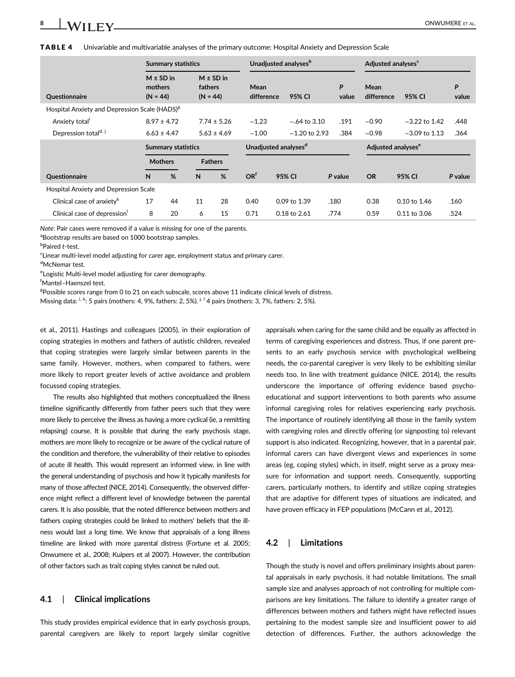|  | <b>TABLE 4</b> Univariable and multivariable analyses of the primary outcome: Hospital Anxiety and Depression Scale |  |  |  |  |  |
|--|---------------------------------------------------------------------------------------------------------------------|--|--|--|--|--|
|--|---------------------------------------------------------------------------------------------------------------------|--|--|--|--|--|

|                                                           |                                        | <b>Summary statistics</b> |                       |                                  |                    | Unadjusted analyses <sup>b</sup> |                |                                | Adjusted analyses <sup>c</sup> |                 |            |
|-----------------------------------------------------------|----------------------------------------|---------------------------|-----------------------|----------------------------------|--------------------|----------------------------------|----------------|--------------------------------|--------------------------------|-----------------|------------|
| Questionnaire                                             | $M \pm SD$ in<br>mothers<br>$(N = 44)$ |                           | fathers<br>$(N = 44)$ | $M \pm SD$ in                    | Mean<br>difference |                                  | 95% CI         | P<br>value                     | Mean<br>difference             | 95% CI          | P<br>value |
| Hospital Anxiety and Depression Scale (HADS) <sup>8</sup> |                                        |                           |                       |                                  |                    |                                  |                |                                |                                |                 |            |
| Anxiety total                                             |                                        | $8.97 \pm 4.72$           |                       | $7.74 \pm 5.26$                  | $-1.23$            |                                  | $-.64$ to 3.10 | .191                           | $-0.90$                        | $-3.22$ to 1.42 | .448       |
| Depression total <sup>d, j</sup>                          | $6.63 \pm 4.47$<br>$5.63 \pm 4.69$     |                           | $-1.00$               |                                  | $-1.20$ to 2.93    | .384                             | $-0.98$        | $-3.09$ to 1.13                | .364                           |                 |            |
|                                                           | <b>Summary statistics</b>              |                           |                       | Unadjusted analyses <sup>d</sup> |                    |                                  |                | Adjusted analyses <sup>e</sup> |                                |                 |            |
|                                                           |                                        | <b>Mothers</b>            |                       | <b>Fathers</b>                   |                    |                                  |                |                                |                                |                 |            |
| Questionnaire                                             | N                                      | %                         | N                     | %                                | OR <sup>f</sup>    | 95% CI                           |                | P value                        | <b>OR</b>                      | 95% CI          | P value    |
| <b>Hospital Anxiety and Depression Scale</b>              |                                        |                           |                       |                                  |                    |                                  |                |                                |                                |                 |            |
| Clinical case of anxiety $k$                              | 17                                     | 44                        | 11                    | 28                               | 0.40               | 0.09 to 1.39                     |                | .180                           | 0.38                           | 0.10 to 1.46    | .160       |
| Clinical case of depression                               | 8                                      | 20                        | 6                     | 15                               | 0.71               | 0.18 to 2.61                     |                | .774                           | 0.59                           | 0.11 to 3.06    | .524       |

Note: Pair cases were removed if a value is missing for one of the parents.

<sup>a</sup>Bootstrap results are based on 1000 bootstrap samples.

**b**Paired t-test.

<sup>c</sup>Linear multi-level model adjusting for carer age, employment status and primary carer.

<sup>d</sup>McNemar test.

<sup>e</sup> Logistic Multi-level model adjusting for carer demography.

f Mantel–Haenszel test.

<sup>g</sup>Possible scores range from 0 to 21 on each subscale, scores above 11 indicate clinical levels of distress.

Missing data: <sup>i, k</sup>: 5 pairs (mothers: 4, 9%, fathers: 2, 5%). <sup>j, 1</sup> 4 pairs (mothers: 3, 7%, fathers: 2, 5%).

et al., 2011). Hastings and colleagues (2005), in their exploration of coping strategies in mothers and fathers of autistic children, revealed that coping strategies were largely similar between parents in the same family. However, mothers, when compared to fathers, were more likely to report greater levels of active avoidance and problem focussed coping strategies.

The results also highlighted that mothers conceptualized the illness timeline significantly differently from father peers such that they were more likely to perceive the illness as having a more cyclical (ie, a remitting relapsing) course. It is possible that during the early psychosis stage, mothers are more likely to recognize or be aware of the cyclical nature of the condition and therefore, the vulnerability of their relative to episodes of acute ill health. This would represent an informed view, in line with the general understanding of psychosis and how it typically manifests for many of those affected (NICE, 2014). Consequently, the observed difference might reflect a different level of knowledge between the parental carers. It is also possible, that the noted difference between mothers and fathers coping strategies could be linked to mothers' beliefs that the illness would last a long time. We know that appraisals of a long illness timeline are linked with more parental distress (Fortune et al. 2005; Onwumere et al., 2008; Kuipers et al 2007). However, the contribution of other factors such as trait coping styles cannot be ruled out.

#### 4.1 | Clinical implications

This study provides empirical evidence that in early psychosis groups, parental caregivers are likely to report largely similar cognitive appraisals when caring for the same child and be equally as affected in terms of caregiving experiences and distress. Thus, if one parent presents to an early psychosis service with psychological wellbeing needs, the co-parental caregiver is very likely to be exhibiting similar needs too. In line with treatment guidance (NICE, 2014), the results underscore the importance of offering evidence based psychoeducational and support interventions to both parents who assume informal caregiving roles for relatives experiencing early psychosis. The importance of routinely identifying all those in the family system with caregiving roles and directly offering (or signposting to) relevant support is also indicated. Recognizing, however, that in a parental pair, informal carers can have divergent views and experiences in some areas (eg, coping styles) which, in itself, might serve as a proxy measure for information and support needs. Consequently, supporting carers, particularly mothers, to identify and utilize coping strategies that are adaptive for different types of situations are indicated, and have proven efficacy in FEP populations (McCann et al., 2012).

#### 4.2 | Limitations

Though the study is novel and offers preliminary insights about parental appraisals in early psychosis, it had notable limitations. The small sample size and analyses approach of not controlling for multiple comparisons are key limitations. The failure to identify a greater range of differences between mothers and fathers might have reflected issues pertaining to the modest sample size and insufficient power to aid detection of differences. Further, the authors acknowledge the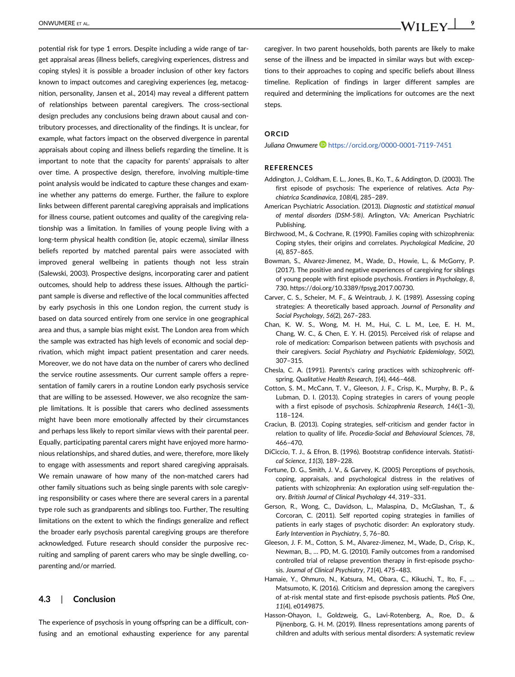potential risk for type 1 errors. Despite including a wide range of target appraisal areas (illness beliefs, caregiving experiences, distress and coping styles) it is possible a broader inclusion of other key factors known to impact outcomes and caregiving experiences (eg, metacognition, personality, Jansen et al., 2014) may reveal a different pattern of relationships between parental caregivers. The cross-sectional design precludes any conclusions being drawn about causal and contributory processes, and directionality of the findings. It is unclear, for example, what factors impact on the observed divergence in parental appraisals about coping and illness beliefs regarding the timeline. It is important to note that the capacity for parents' appraisals to alter over time. A prospective design, therefore, involving multiple-time point analysis would be indicated to capture these changes and examine whether any patterns do emerge. Further, the failure to explore links between different parental caregiving appraisals and implications for illness course, patient outcomes and quality of the caregiving relationship was a limitation. In families of young people living with a long-term physical health condition (ie, atopic eczema), similar illness beliefs reported by matched parental pairs were associated with improved general wellbeing in patients though not less strain (Salewski, 2003). Prospective designs, incorporating carer and patient outcomes, should help to address these issues. Although the participant sample is diverse and reflective of the local communities affected by early psychosis in this one London region, the current study is based on data sourced entirely from one service in one geographical area and thus, a sample bias might exist. The London area from which the sample was extracted has high levels of economic and social deprivation, which might impact patient presentation and carer needs. Moreover, we do not have data on the number of carers who declined the service routine assessments. Our current sample offers a representation of family carers in a routine London early psychosis service that are willing to be assessed. However, we also recognize the sample limitations. It is possible that carers who declined assessments might have been more emotionally affected by their circumstances and perhaps less likely to report similar views with their parental peer. Equally, participating parental carers might have enjoyed more harmonious relationships, and shared duties, and were, therefore, more likely to engage with assessments and report shared caregiving appraisals. We remain unaware of how many of the non-matched carers had other family situations such as being single parents with sole caregiving responsibility or cases where there are several carers in a parental type role such as grandparents and siblings too. Further, The resulting limitations on the extent to which the findings generalize and reflect the broader early psychosis parental caregiving groups are therefore acknowledged. Future research should consider the purposive recruiting and sampling of parent carers who may be single dwelling, coparenting and/or married.

#### 4.3 | Conclusion

The experience of psychosis in young offspring can be a difficult, confusing and an emotional exhausting experience for any parental caregiver. In two parent households, both parents are likely to make sense of the illness and be impacted in similar ways but with exceptions to their approaches to coping and specific beliefs about illness timeline. Replication of findings in larger different samples are required and determining the implications for outcomes are the next steps.

#### ORCID

Juliana Onwumere <https://orcid.org/0000-0001-7119-7451>

#### **REFERENCES**

- Addington, J., Coldham, E. L., Jones, B., Ko, T., & Addington, D. (2003). The first episode of psychosis: The experience of relatives. Acta Psychiatrica Scandinavica, 108(4), 285–289.
- American Psychiatric Association. (2013). Diagnostic and statistical manual of mental disorders (DSM-5®). Arlington, VA: American Psychiatric Publishing.
- Birchwood, M., & Cochrane, R. (1990). Families coping with schizophrenia: Coping styles, their origins and correlates. Psychological Medicine, 20 (4), 857–865.
- Bowman, S., Alvarez-Jimenez, M., Wade, D., Howie, L., & McGorry, P. (2017). The positive and negative experiences of caregiving for siblings of young people with first episode psychosis. Frontiers in Psychology, 8, 730. [https://doi.org/10.3389/fpsyg.2017.00730.](https://doi.org/10.3389/fpsyg.2017.00730)
- Carver, C. S., Scheier, M. F., & Weintraub, J. K. (1989). Assessing coping strategies: A theoretically based approach. Journal of Personality and Social Psychology, 56(2), 267–283.
- Chan, K. W. S., Wong, M. H. M., Hui, C. L. M., Lee, E. H. M., Chang, W. C., & Chen, E. Y. H. (2015). Perceived risk of relapse and role of medication: Comparison between patients with psychosis and their caregivers. Social Psychiatry and Psychiatric Epidemiology, 50(2), 307–315.
- Chesla, C. A. (1991). Parents's caring practices with schizophrenic offspring. Qualitative Health Research, 1(4), 446–468.
- Cotton, S. M., McCann, T. V., Gleeson, J. F., Crisp, K., Murphy, B. P., & Lubman, D. I. (2013). Coping strategies in carers of young people with a first episode of psychosis. Schizophrenia Research, 146(1-3), 118–124.
- Craciun, B. (2013). Coping strategies, self-criticism and gender factor in relation to quality of life. Procedia-Social and Behavioural Sciences, 78, 466–470.
- DiCiccio, T. J., & Efron, B. (1996). Bootstrap confidence intervals. Statistical Science, 11(3), 189–228.
- Fortune, D. G., Smith, J. V., & Garvey, K. (2005) Perceptions of psychosis, coping, appraisals, and psychological distress in the relatives of patients with schizophrenia: An exploration using self-regulation theory. British Journal of Clinical Psychology 44, 319–331.
- Gerson, R., Wong, C., Davidson, L., Malaspina, D., McGlashan, T., & Corcoran, C. (2011). Self reported coping strategies in families of patients in early stages of psychotic disorder: An exploratory study. Early Intervention in Psychiatry, 5, 76–80.
- Gleeson, J. F. M., Cotton, S. M., Alvarez-Jimenez, M., Wade, D., Crisp, K., Newman, B., … PD, M. G. (2010). Family outcomes from a randomised controlled trial of relapse prevention therapy in first-episode psychosis. Journal of Clinical Psychiatry, 71(4), 475–483.
- Hamaie, Y., Ohmuro, N., Katsura, M., Obara, C., Kikuchi, T., Ito, F., … Matsumoto, K. (2016). Criticism and depression among the caregivers of at-risk mental state and first-episode psychosis patients. PloS One, 11(4), e0149875.
- Hasson-Ohayon, I., Goldzweig, G., Lavi-Rotenberg, A., Roe, D., & Pijnenborg, G. H. M. (2019). Illness representations among parents of children and adults with serious mental disorders: A systematic review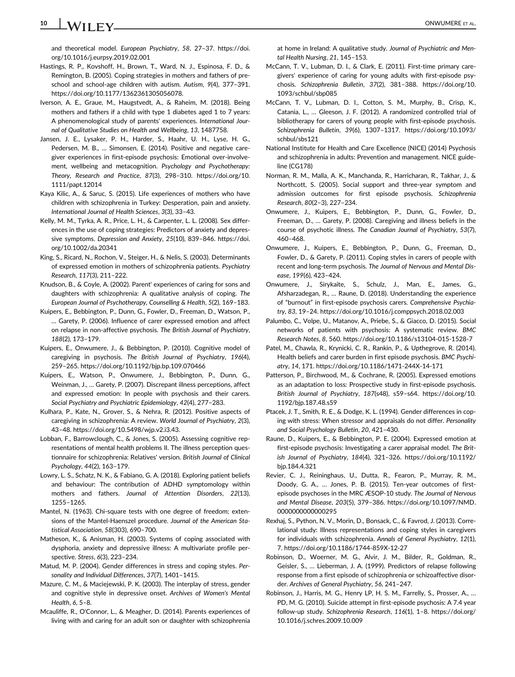### 10 WII EV CONWUMERE ET AL.

and theoretical model. European Psychiatry, 58, 27–37. [https://doi.](https://doi.org/10.1016/j.eurpsy.2019.02.001) [org/10.1016/j.eurpsy.2019.02.001](https://doi.org/10.1016/j.eurpsy.2019.02.001)

Hastings, R. P., Kovshoff, H., Brown, T., Ward, N. J., Espinosa, F. D., & Remington, B. (2005). Coping strategies in mothers and fathers of preschool and school-age children with autism. Autism, 9(4), 377–391. [https://doi.org/10.1177/1362361305056078.](https://doi.org/10.1177/1362361305056078)

Iverson, A. E., Graue, M., Haugstvedt, A., & Raheim, M. (2018). Being mothers and fathers if a child with type 1 diabetes aged 1 to 7 years: A phenomenological study of parents' experiences. International Journal of Qualitative Studies on Health and Wellbeing, 13, 1487758.

- Jansen, J. E., Lysaker, P. H., Harder, S., Haahr, U. H., Lyse, H. G., Pedersen, M. B., ... Simonsen, E. (2014). Positive and negative caregiver experiences in first-episode psychosis: Emotional over-involvement, wellbeing and metacognition. Psychology and Psychotherapy: Theory, Research and Practice, 87(3), 298–310. [https://doi.org/10.](https://doi.org/10.1111/papt.12014) [1111/papt.12014](https://doi.org/10.1111/papt.12014)
- Kaya Kilic, A., & Saruc, S. (2015). Life experiences of mothers who have children with schizophrenia in Turkey: Desperation, pain and anxiety. International Journal of Health Sciences, 3(3), 33–43.
- Kelly, M. M., Tyrka, A. R., Price, L. H., & Carpenter, L. L. (2008). Sex differences in the use of coping strategies: Predictors of anxiety and depressive symptoms. Depression and Anxiety, 25(10), 839–846. [https://doi.](https://doi.org/10.1002/da.20341) [org/10.1002/da.20341](https://doi.org/10.1002/da.20341)
- King, S., Ricard, N., Rochon, V., Steiger, H., & Nelis, S. (2003). Determinants of expressed emotion in mothers of schizophrenia patients. Psychiatry Research, 117(3), 211–222.
- Knudson, B., & Coyle, A. (2002). Parent' experiences of caring for sons and daughters with schizophrenia: A qualitative analysis of coping. The European Journal of Psychotherapy, Counselling & Health, 5(2), 169–183.
- Kuipers, E., Bebbington, P., Dunn, G., Fowler, D., Freeman, D., Watson, P., … Garety, P. (2006). Influence of carer expressed emotion and affect on relapse in non-affective psychosis. The British Journal of Psychiatry, 188(2), 173–179.
- Kuipers, E., Onwumere, J., & Bebbington, P. (2010). Cognitive model of caregiving in psychosis. The British Journal of Psychiatry, 196(4), 259–265.<https://doi.org/10.1192/bjp.bp.109.070466>
- Kuipers, E., Watson, P., Onwumere, J., Bebbington, P., Dunn, G., Weinman, J., … Garety, P. (2007). Discrepant illness perceptions, affect and expressed emotion: In people with psychosis and their carers. Social Psychiatry and Psychiatric Epidemiology, 42(4), 277–283.
- Kulhara, P., Kate, N., Grover, S., & Nehra, R. (2012). Positive aspects of caregiving in schizophrenia: A review. World Journal of Psychiatry, 2(3), 43–48. [https://doi.org/10.5498/wjp.v2.i3.43.](https://doi.org/10.5498/wjp.v2.i3.43)
- Lobban, F., Barrowclough, C., & Jones, S. (2005). Assessing cognitive representations of mental health problems II. The illness perception questionnaire for schizophrenia: Relatives' version. British Journal of Clinical Psychology, 44(2), 163–179.
- Lowry, L. S., Schatz, N. K., & Fabiano, G. A. (2018). Exploring patient beliefs and behaviour: The contribution of ADHD symptomology within mothers and fathers. Journal of Attention Disorders, 22(13), 1255–1265.
- Mantel, N. (1963). Chi-square tests with one degree of freedom; extensions of the Mantel-Haenszel procedure. Journal of the American Statistical Association, 58(303), 690–700.
- Matheson, K., & Anisman, H. (2003). Systems of coping associated with dysphoria, anxiety and depressive illness: A multivariate profile perspective. Stress, 6(3), 223–234.
- Matud, M. P. (2004). Gender differences in stress and coping styles. Personality and Individual Differences, 37(7), 1401–1415.
- Mazure, C. M., & Maciejewski, P. K. (2003). The interplay of stress, gender and cognitive style in depressive onset. Archives of Women's Mental Health, 6, 5–8.
- Mcauliffe, R., O'Connor, L., & Meagher, D. (2014). Parents experiences of living with and caring for an adult son or daughter with schizophrenia

at home in Ireland: A qualitative study. Journal of Psychiatric and Mental Health Nursing, 21, 145–153.

- McCann, T. V., Lubman, D. I., & Clark, E. (2011). First-time primary caregivers' experience of caring for young adults with first-episode psychosis. Schizophrenia Bulletin, 37(2), 381–388. [https://doi.org/10.](https://doi.org/10.1093/schbul/sbp085) [1093/schbul/sbp085](https://doi.org/10.1093/schbul/sbp085)
- McCann, T. V., Lubman, D. I., Cotton, S. M., Murphy, B., Crisp, K., Catania, L., … Gleeson, J. F. (2012). A randomized controlled trial of bibliotherapy for carers of young people with first-episode psychosis. Schizophrenia Bulletin, 39(6), 1307–1317. [https://doi.org/10.1093/](https://doi.org/10.1093/schbul/sbs121) [schbul/sbs121](https://doi.org/10.1093/schbul/sbs121)
- National Institute for Health and Care Excellence (NICE) (2014) Psychosis and schizophrenia in adults: Prevention and management. NICE guideline (CG178)
- Norman, R. M., Malla, A. K., Manchanda, R., Harricharan, R., Takhar, J., & Northcott, S. (2005). Social support and three-year symptom and admission outcomes for first episode psychosis. Schizophrenia Research, 80(2–3), 227–234.
- Onwumere, J., Kuipers, E., Bebbington, P., Dunn, G., Fowler, D., Freeman, D., … Garety, P. (2008). Caregiving and illness beliefs in the course of psychotic illness. The Canadian Journal of Psychiatry, 53(7), 460–468.
- Onwumere, J., Kuipers, E., Bebbington, P., Dunn, G., Freeman, D., Fowler, D., & Garety, P. (2011). Coping styles in carers of people with recent and long-term psychosis. The Journal of Nervous and Mental Disease, 199(6), 423–424.
- Onwumere, J., Sirykaite, S., Schulz, J., Man, E., James, G., Afsharzadegan, R., … Raune, D. (2018). Understanding the experience of "burnout" in first-episode psychosis carers. Comprehensive Psychiatry, 83, 19–24.<https://doi.org/10.1016/j.comppsych.2018.02.003>
- Palumbo, C., Volpe, U., Matanov, A., Priebe, S., & Giacco, D. (2015). Social networks of patients with psychosis: A systematic review. BMC Research Notes, 8, 560.<https://doi.org/10.1186/s13104-015-1528-7>
- Patel, M., Chawla, R., Krynicki, C. R., Rankin, P., & Upthegrove, R. (2014). Health beliefs and carer burden in first episode psychosis. BMC Psychiatry, 14, 171.<https://doi.org/10.1186/1471-244X-14-171>
- Patterson, P., Birchwood, M., & Cochrane, R. (2005). Expressed emotions as an adaptation to loss: Prospective study in first-episode psychosis. British Journal of Psychiatry, 187(s48), s59–s64. [https://doi.org/10.](https://doi.org/10.1192/bjp.187.48.s59) [1192/bjp.187.48.s59](https://doi.org/10.1192/bjp.187.48.s59)
- Ptacek, J. T., Smith, R. E., & Dodge, K. L. (1994). Gender differences in coping with stress: When stressor and appraisals do not differ. Personality and Social Psychology Bulletin, 20, 421–430.
- Raune, D., Kuipers, E., & Bebbington, P. E. (2004). Expressed emotion at first-episode psychosis: Investigating a carer appraisal model. The British Journal of Psychiatry, 184(4), 321–326. [https://doi.org/10.1192/](https://doi.org/10.1192/bjp.184.4.321) [bjp.184.4.321](https://doi.org/10.1192/bjp.184.4.321)
- Revier, C. J., Reininghaus, U., Dutta, R., Fearon, P., Murray, R. M., Doody, G. A., … Jones, P. B. (2015). Ten-year outcomes of firstepisode psychoses in the MRC ÆSOP-10 study. The Journal of Nervous and Mental Disease, 203(5), 379–386. [https://doi.org/10.1097/NMD.](https://doi.org/10.1097/NMD.0000000000000295) [0000000000000295](https://doi.org/10.1097/NMD.0000000000000295)
- Rexhaj, S., Python, N. V., Morin, D., Bonsack, C., & Favrod, J. (2013). Correlational study: Illness representations and coping styles in caregivers for individuals with schizophrenia. Annals of General Psychiatry, 12(1), 7.<https://doi.org/10.1186/1744-859X-12-27>
- Robinson, D., Woerner, M. G., Alvir, J. M., Bilder, R., Goldman, R., Geisler, S., … Lieberman, J. A. (1999). Predictors of relapse following response from a first episode of schizophrenia or schizoaffective disorder. Archives of General Psychiatry, 56, 241–247.
- Robinson, J., Harris, M. G., Henry LP, H. S. M., Farrelly, S., Prosser, A., … PD, M. G. (2010). Suicide attempt in first-episode psychosis: A 7.4 year follow-up study. Schizophrenia Research, 116(1), 1–8. [https://doi.org/](https://doi.org/10.1016/j.schres.2009.10.009) [10.1016/j.schres.2009.10.009](https://doi.org/10.1016/j.schres.2009.10.009)